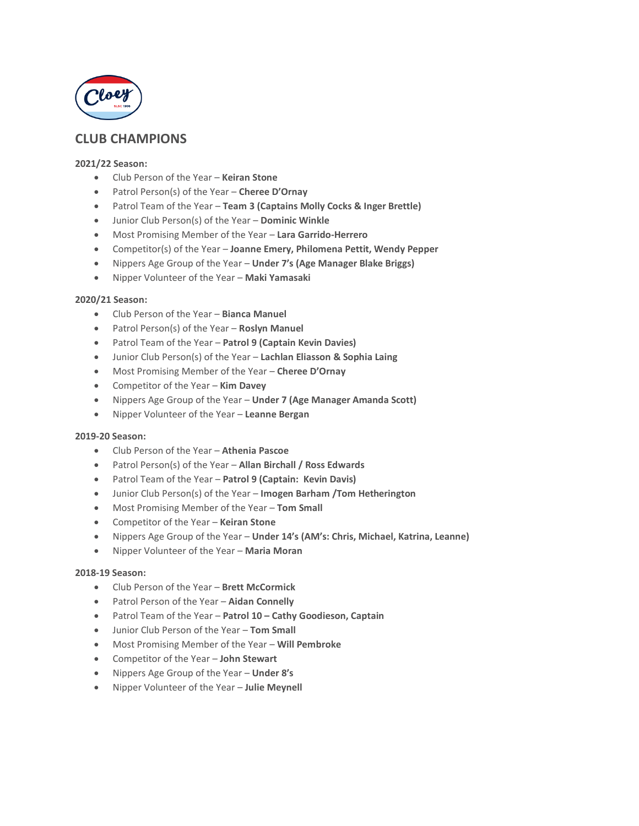

# **CLUB CHAMPIONS**

### **2021/22 Season:**

- Club Person of the Year **Keiran Stone**
- Patrol Person(s) of the Year **Cheree D'Ornay**
- Patrol Team of the Year **Team 3 (Captains Molly Cocks & Inger Brettle)**
- Junior Club Person(s) of the Year **Dominic Winkle**
- Most Promising Member of the Year **Lara Garrido-Herrero**
- Competitor(s) of the Year **Joanne Emery, Philomena Pettit, Wendy Pepper**
- Nippers Age Group of the Year **Under 7's (Age Manager Blake Briggs)**
- Nipper Volunteer of the Year **Maki Yamasaki**

#### **2020/21 Season:**

- Club Person of the Year **Bianca Manuel**
- Patrol Person(s) of the Year **Roslyn Manuel**
- Patrol Team of the Year **Patrol 9 (Captain Kevin Davies)**
- Junior Club Person(s) of the Year **Lachlan Eliasson & Sophia Laing**
- Most Promising Member of the Year **Cheree D'Ornay**
- Competitor of the Year **Kim Davey**
- Nippers Age Group of the Year **Under 7 (Age Manager Amanda Scott)**
- Nipper Volunteer of the Year **Leanne Bergan**

# **2019-20 Season:**

- Club Person of the Year **Athenia Pascoe**
- Patrol Person(s) of the Year **Allan Birchall / Ross Edwards**
- Patrol Team of the Year **Patrol 9 (Captain: Kevin Davis)**
- Junior Club Person(s) of the Year **Imogen Barham /Tom Hetherington**
- Most Promising Member of the Year **Tom Small**
- Competitor of the Year **Keiran Stone**
- Nippers Age Group of the Year **Under 14's (AM's: Chris, Michael, Katrina, Leanne)**
- Nipper Volunteer of the Year **Maria Moran**

#### **2018-19 Season:**

- Club Person of the Year **Brett McCormick**
- Patrol Person of the Year **Aidan Connelly**
- Patrol Team of the Year **Patrol 10 – Cathy Goodieson, Captain**
- Junior Club Person of the Year **Tom Small**
- Most Promising Member of the Year **Will Pembroke**
- Competitor of the Year **John Stewart**
- Nippers Age Group of the Year **Under 8's**
- Nipper Volunteer of the Year **Julie Meynell**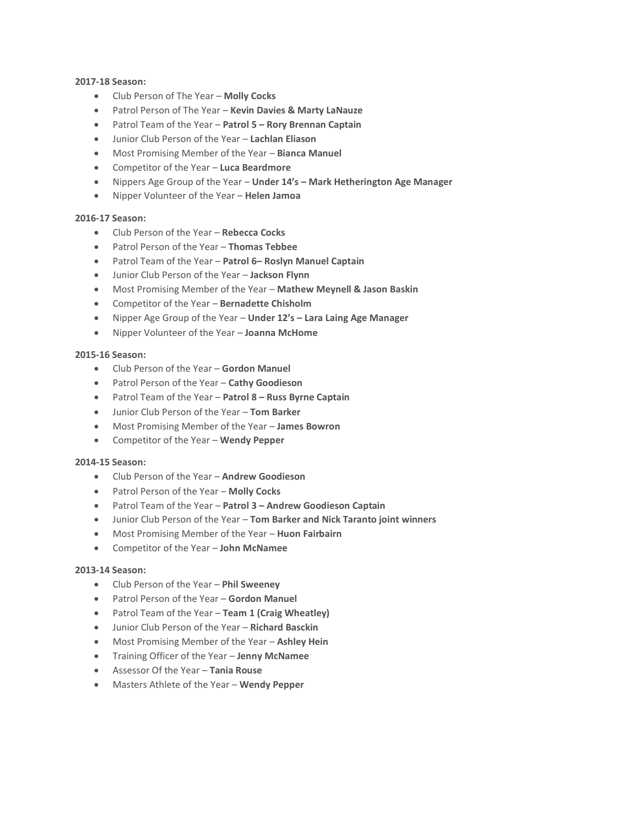# **2017-18 Season:**

- Club Person of The Year **Molly Cocks**
- Patrol Person of The Year **Kevin Davies & Marty LaNauze**
- Patrol Team of the Year **Patrol 5 – Rory Brennan Captain**
- Junior Club Person of the Year **Lachlan Eliason**
- Most Promising Member of the Year **Bianca Manuel**
- Competitor of the Year **Luca Beardmore**
- Nippers Age Group of the Year **Under 14's – Mark Hetherington Age Manager**
- Nipper Volunteer of the Year **Helen Jamoa**

# **2016-17 Season:**

- Club Person of the Year **Rebecca Cocks**
- Patrol Person of the Year **Thomas Tebbee**
- Patrol Team of the Year **Patrol 6– Roslyn Manuel Captain**
- Junior Club Person of the Year **Jackson Flynn**
- Most Promising Member of the Year **Mathew Meynell & Jason Baskin**
- Competitor of the Year **Bernadette Chisholm**
- Nipper Age Group of the Year **Under 12's – Lara Laing Age Manager**
- Nipper Volunteer of the Year **Joanna McHome**

# **2015-16 Season:**

- Club Person of the Year **Gordon Manuel**
- Patrol Person of the Year **Cathy Goodieson**
- Patrol Team of the Year **Patrol 8 – Russ Byrne Captain**
- Junior Club Person of the Year **Tom Barker**
- Most Promising Member of the Year **James Bowron**
- Competitor of the Year **Wendy Pepper**

## **2014-15 Season:**

- Club Person of the Year **Andrew Goodieson**
- Patrol Person of the Year **Molly Cocks**
- Patrol Team of the Year **Patrol 3 – Andrew Goodieson Captain**
- Junior Club Person of the Year **Tom Barker and Nick Taranto joint winners**
- Most Promising Member of the Year **Huon Fairbairn**
- Competitor of the Year **John McNamee**

## **2013-14 Season:**

- Club Person of the Year **Phil Sweeney**
- Patrol Person of the Year **Gordon Manuel**
- Patrol Team of the Year **Team 1 (Craig Wheatley)**
- Junior Club Person of the Year **Richard Basckin**
- Most Promising Member of the Year **Ashley Hein**
- Training Officer of the Year **Jenny McNamee**
- Assessor Of the Year **Tania Rouse**
- Masters Athlete of the Year **Wendy Pepper**